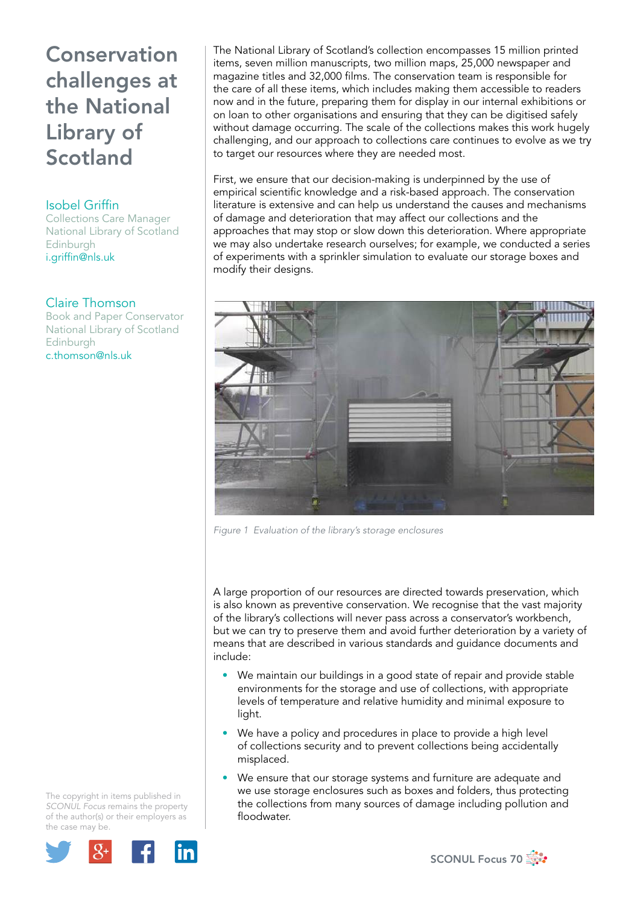#### Isobel Griffin

Collections Care Manager National Library of Scotland Edinburgh i.griffin@nls.uk

#### Claire Thomson

Book and Paper Conservator National Library of Scotland Edinburgh c.thomson@nls.uk

The copyright in items published in *SCONUL Focus* remains the property of the author(s) or their employers as the case may be.



The National Library of Scotland's collection encompasses 15 million printed items, seven million manuscripts, two million maps, 25,000 newspaper and magazine titles and 32,000 films. The conservation team is responsible for the care of all these items, which includes making them accessible to readers now and in the future, preparing them for display in our internal exhibitions or on loan to other organisations and ensuring that they can be digitised safely without damage occurring. The scale of the collections makes this work hugely challenging, and our approach to collections care continues to evolve as we try to target our resources where they are needed most.

First, we ensure that our decision-making is underpinned by the use of empirical scientific knowledge and a risk-based approach. The conservation literature is extensive and can help us understand the causes and mechanisms of damage and deterioration that may affect our collections and the approaches that may stop or slow down this deterioration. Where appropriate we may also undertake research ourselves; for example, we conducted a series of experiments with a sprinkler simulation to evaluate our storage boxes and modify their designs.



*Figure 1 Evaluation of the library's storage enclosures*

A large proportion of our resources are directed towards preservation, which is also known as preventive conservation. We recognise that the vast majority of the library's collections will never pass across a conservator's workbench, but we can try to preserve them and avoid further deterioration by a variety of means that are described in various standards and guidance documents and include:

- We maintain our buildings in a good state of repair and provide stable environments for the storage and use of collections, with appropriate levels of temperature and relative humidity and minimal exposure to light.
- We have a policy and procedures in place to provide a high level of collections security and to prevent collections being accidentally misplaced.
- We ensure that our storage systems and furniture are adequate and we use storage enclosures such as boxes and folders, thus protecting the collections from many sources of damage including pollution and floodwater.

SCONUL Focus 70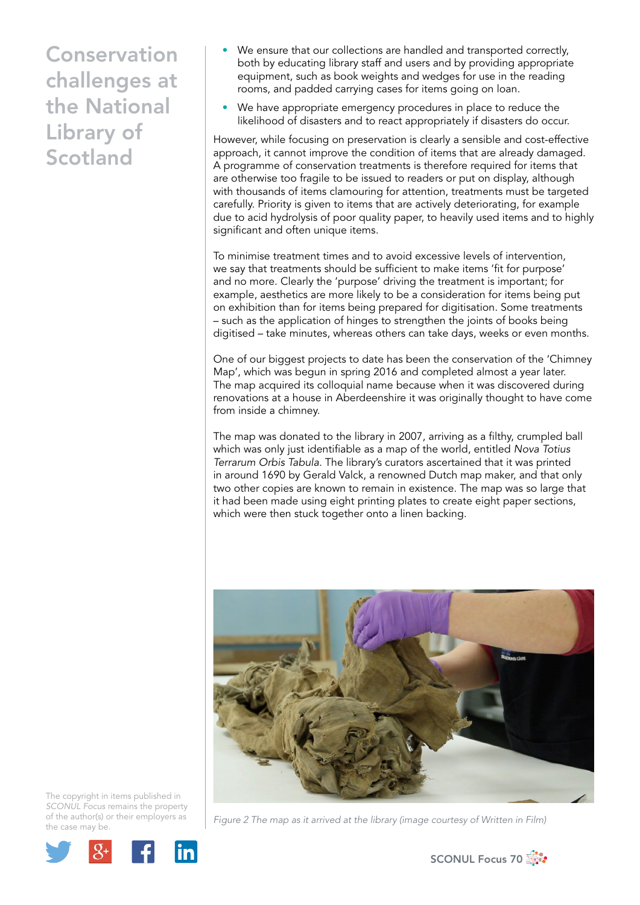- We ensure that our collections are handled and transported correctly, both by educating library staff and users and by providing appropriate equipment, such as book weights and wedges for use in the reading rooms, and padded carrying cases for items going on loan.
- We have appropriate emergency procedures in place to reduce the likelihood of disasters and to react appropriately if disasters do occur.

However, while focusing on preservation is clearly a sensible and cost-effective approach, it cannot improve the condition of items that are already damaged. A programme of conservation treatments is therefore required for items that are otherwise too fragile to be issued to readers or put on display, although with thousands of items clamouring for attention, treatments must be targeted carefully. Priority is given to items that are actively deteriorating, for example due to acid hydrolysis of poor quality paper, to heavily used items and to highly significant and often unique items.

To minimise treatment times and to avoid excessive levels of intervention, we say that treatments should be sufficient to make items 'fit for purpose' and no more. Clearly the 'purpose' driving the treatment is important; for example, aesthetics are more likely to be a consideration for items being put on exhibition than for items being prepared for digitisation. Some treatments – such as the application of hinges to strengthen the joints of books being digitised – take minutes, whereas others can take days, weeks or even months.

One of our biggest projects to date has been the conservation of the 'Chimney Map', which was begun in spring 2016 and completed almost a year later. The map acquired its colloquial name because when it was discovered during renovations at a house in Aberdeenshire it was originally thought to have come from inside a chimney.

The map was donated to the library in 2007, arriving as a filthy, crumpled ball which was only just identifiable as a map of the world, entitled *Nova Totius Terrarum Orbis Tabula*. The library's curators ascertained that it was printed in around 1690 by Gerald Valck, a renowned Dutch map maker, and that only two other copies are known to remain in existence. The map was so large that it had been made using eight printing plates to create eight paper sections, which were then stuck together onto a linen backing.





*Figure 2 The map as it arrived at the library (image courtesy of Written in Film)* 

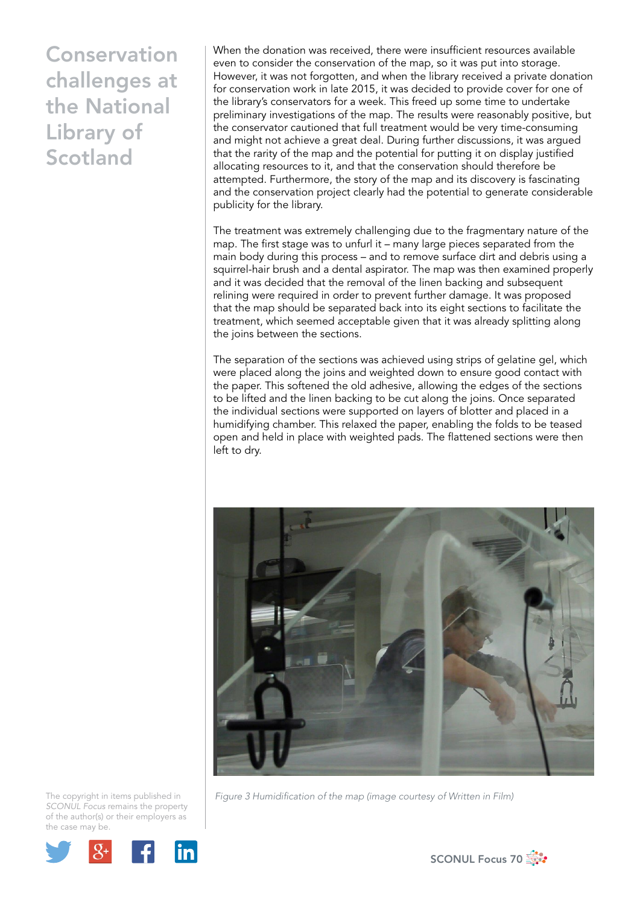When the donation was received, there were insufficient resources available even to consider the conservation of the map, so it was put into storage. However, it was not forgotten, and when the library received a private donation for conservation work in late 2015, it was decided to provide cover for one of the library's conservators for a week. This freed up some time to undertake preliminary investigations of the map. The results were reasonably positive, but the conservator cautioned that full treatment would be very time-consuming and might not achieve a great deal. During further discussions, it was argued that the rarity of the map and the potential for putting it on display justified allocating resources to it, and that the conservation should therefore be attempted. Furthermore, the story of the map and its discovery is fascinating and the conservation project clearly had the potential to generate considerable publicity for the library.

The treatment was extremely challenging due to the fragmentary nature of the map. The first stage was to unfurl it – many large pieces separated from the main body during this process – and to remove surface dirt and debris using a squirrel-hair brush and a dental aspirator. The map was then examined properly and it was decided that the removal of the linen backing and subsequent relining were required in order to prevent further damage. It was proposed that the map should be separated back into its eight sections to facilitate the treatment, which seemed acceptable given that it was already splitting along the joins between the sections.

The separation of the sections was achieved using strips of gelatine gel, which were placed along the joins and weighted down to ensure good contact with the paper. This softened the old adhesive, allowing the edges of the sections to be lifted and the linen backing to be cut along the joins. Once separated the individual sections were supported on layers of blotter and placed in a humidifying chamber. This relaxed the paper, enabling the folds to be teased open and held in place with weighted pads. The flattened sections were then left to dry.



*Figure 3 Humidification of the map (image courtesy of Written in Film)* 



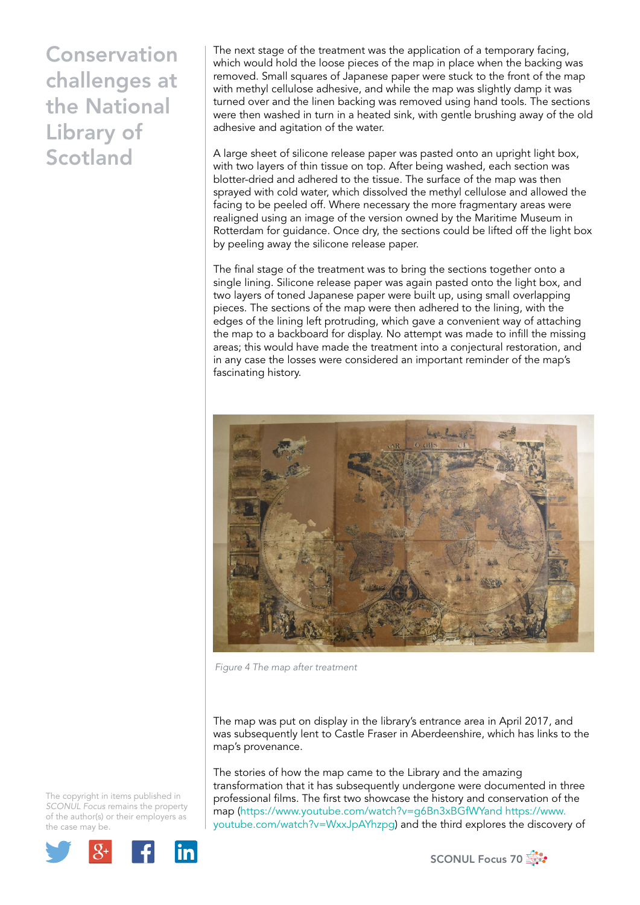The next stage of the treatment was the application of a temporary facing, which would hold the loose pieces of the map in place when the backing was removed. Small squares of Japanese paper were stuck to the front of the map with methyl cellulose adhesive, and while the map was slightly damp it was turned over and the linen backing was removed using hand tools. The sections were then washed in turn in a heated sink, with gentle brushing away of the old adhesive and agitation of the water.

A large sheet of silicone release paper was pasted onto an upright light box, with two layers of thin tissue on top. After being washed, each section was blotter-dried and adhered to the tissue. The surface of the map was then sprayed with cold water, which dissolved the methyl cellulose and allowed the facing to be peeled off. Where necessary the more fragmentary areas were realigned using an image of the version owned by the Maritime Museum in Rotterdam for guidance. Once dry, the sections could be lifted off the light box by peeling away the silicone release paper.

The final stage of the treatment was to bring the sections together onto a single lining. Silicone release paper was again pasted onto the light box, and two layers of toned Japanese paper were built up, using small overlapping pieces. The sections of the map were then adhered to the lining, with the edges of the lining left protruding, which gave a convenient way of attaching the map to a backboard for display. No attempt was made to infill the missing areas; this would have made the treatment into a conjectural restoration, and in any case the losses were considered an important reminder of the map's fascinating history.



*Figure 4 The map after treatment*

The map was put on display in the library's entrance area in April 2017, and was subsequently lent to Castle Fraser in Aberdeenshire, which has links to the map's provenance.

The stories of how the map came to the Library and the amazing transformation that it has subsequently undergone were documented in three professional films. The first two showcase the history and conservation of the map (https://www.youtube.com/watch?v=g6Bn3xBGfWYand https://www. youtube.com/watch?v=WxxJpAYhzpg) and the third explores the discovery of